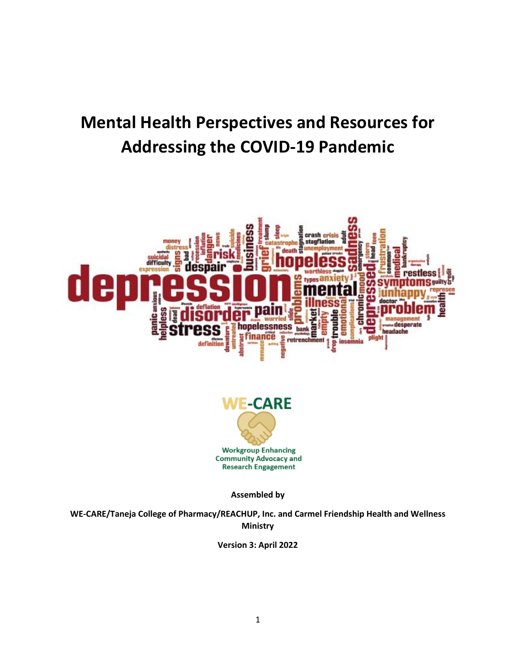# **Mental Health Perspectives and Resources for Addressing the COVID-19 Pandemic**





**Assembled by**

**WE-CARE/Taneja College of Pharmacy/REACHUP, Inc. and Carmel Friendship Health and Wellness Ministry**

**Version 3: April 2022**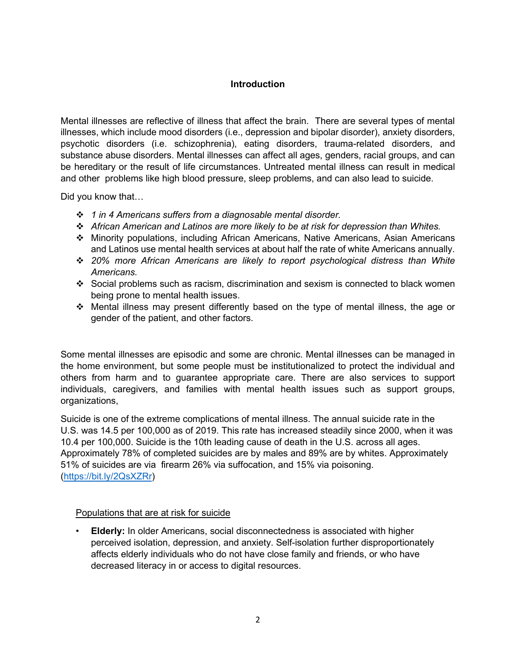#### **Introduction**

Mental illnesses are reflective of illness that affect the brain. There are several types of mental illnesses, which include mood disorders (i.e., depression and bipolar disorder), anxiety disorders, psychotic disorders (i.e. schizophrenia), eating disorders, trauma-related disorders, and substance abuse disorders. Mental illnesses can affect all ages, genders, racial groups, and can be hereditary or the result of life circumstances. Untreated mental illness can result in medical and other problems like high blood pressure, sleep problems, and can also lead to suicide.

Did you know that…

- *1 in 4 Americans suffers from a diagnosable mental disorder.*
- *African American and Latinos are more likely to be at risk for depression than Whites.*
- Minority populations, including African Americans, Native Americans, Asian Americans and Latinos use mental health services at about half the rate of white Americans annually.
- *20% more African Americans are likely to report psychological distress than White Americans.*
- Social problems such as racism, discrimination and sexism is connected to black women being prone to mental health issues.
- $\div$  Mental illness may present differently based on the type of mental illness, the age or gender of the patient, and other factors.

Some mental illnesses are episodic and some are chronic. Mental illnesses can be managed in the home environment, but some people must be institutionalized to protect the individual and others from harm and to guarantee appropriate care. There are also services to support individuals, caregivers, and families with mental health issues such as support groups, organizations,

Suicide is one of the extreme complications of mental illness. The annual suicide rate in the U.S. was 14.5 per 100,000 as of 2019. This rate has increased steadily since 2000, when it was 10.4 per 100,000. Suicide is the 10th leading cause of death in the U.S. across all ages. Approximately 78% of completed suicides are by males and 89% are by whites. Approximately 51% of suicides are via firearm 26% via suffocation, and 15% via poisoning. [\(https://bit.ly/2QsXZRr\)](https://bit.ly/2QsXZRr)

#### Populations that are at risk for suicide

• **Elderly:** In older Americans, social disconnectedness is associated with higher perceived isolation, depression, and anxiety. Self-isolation further disproportionately affects elderly individuals who do not have close family and friends, or who have decreased literacy in or access to digital resources.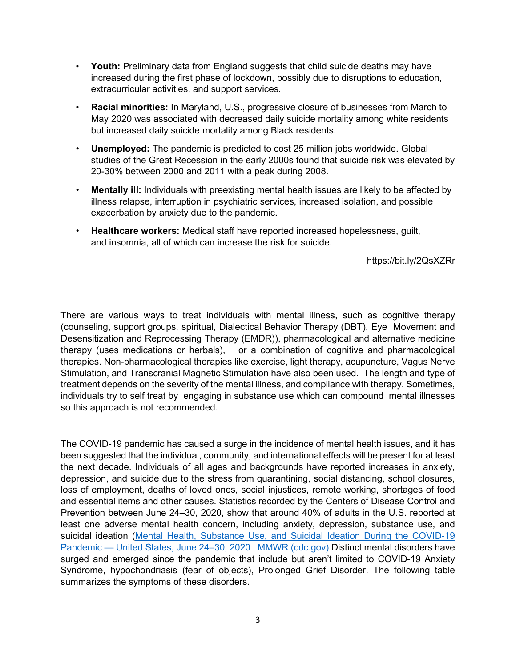- **Youth:** Preliminary data from England suggests that child suicide deaths may have increased during the first phase of lockdown, possibly due to disruptions to education, extracurricular activities, and support services.
- **Racial minorities:** In Maryland, U.S., progressive closure of businesses from March to May 2020 was associated with decreased daily suicide mortality among white residents but increased daily suicide mortality among Black residents.
- **Unemployed:** The pandemic is predicted to cost 25 million jobs worldwide. Global studies of the Great Recession in the early 2000s found that suicide risk was elevated by 20-30% between 2000 and 2011 with a peak during 2008.
- **Mentally ill:** Individuals with preexisting mental health issues are likely to be affected by illness relapse, interruption in psychiatric services, increased isolation, and possible exacerbation by anxiety due to the pandemic.
- **Healthcare workers:** Medical staff have reported increased hopelessness, guilt, and insomnia, all of which can increase the risk for suicide.

https://bit.ly/2QsXZRr

There are various ways to treat individuals with mental illness, such as cognitive therapy (counseling, support groups, spiritual, Dialectical Behavior Therapy (DBT), Eye Movement and Desensitization and Reprocessing Therapy (EMDR)), pharmacological and alternative medicine therapy (uses medications or herbals), or a combination of cognitive and pharmacological therapies. Non-pharmacological therapies like exercise, light therapy, acupuncture, Vagus Nerve Stimulation, and Transcranial Magnetic Stimulation have also been used. The length and type of treatment depends on the severity of the mental illness, and compliance with therapy. Sometimes, individuals try to self treat by engaging in substance use which can compound mental illnesses so this approach is not recommended.

The COVID-19 pandemic has caused a surge in the incidence of mental health issues, and it has been suggested that the individual, community, and international effects will be present for at least the next decade. Individuals of all ages and backgrounds have reported increases in anxiety, depression, and suicide due to the stress from quarantining, social distancing, school closures, loss of employment, deaths of loved ones, social injustices, remote working, shortages of food and essential items and other causes. Statistics recorded by the Centers of Disease Control and Prevention between June 24–30, 2020, show that around 40% of adults in the U.S. reported at least one adverse mental health concern, including anxiety, depression, substance use, and suicidal ideation [\(Mental Health, Substance Use, and Suicidal Ideation During the COVID-19](https://www.cdc.gov/mmwr/volumes/69/wr/mm6932a1.htm)  [Pandemic — United States, June 24–30, 2020 | MMWR \(cdc.gov\)](https://www.cdc.gov/mmwr/volumes/69/wr/mm6932a1.htm) Distinct mental disorders have surged and emerged since the pandemic that include but aren't limited to COVID-19 Anxiety Syndrome, hypochondriasis (fear of objects), Prolonged Grief Disorder. The following table summarizes the symptoms of these disorders.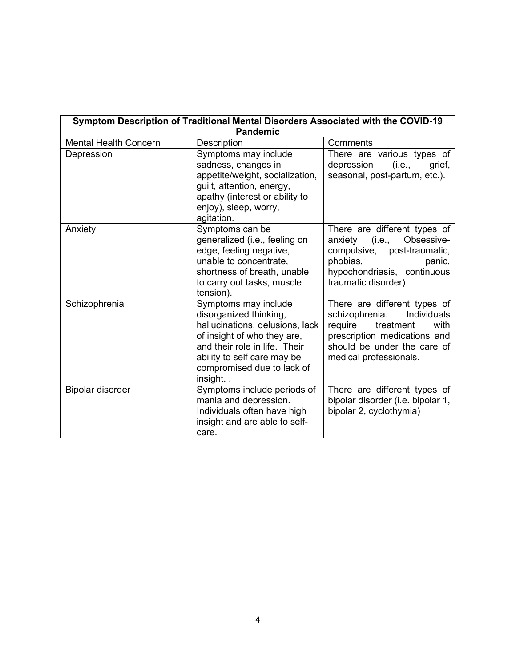| Symptom Description of Traditional Mental Disorders Associated with the COVID-19<br><b>Pandemic</b> |                                                                                                                                                                                                                           |                                                                                                                                                                                        |  |
|-----------------------------------------------------------------------------------------------------|---------------------------------------------------------------------------------------------------------------------------------------------------------------------------------------------------------------------------|----------------------------------------------------------------------------------------------------------------------------------------------------------------------------------------|--|
| <b>Mental Health Concern</b>                                                                        | Description                                                                                                                                                                                                               | Comments                                                                                                                                                                               |  |
| Depression                                                                                          | Symptoms may include<br>sadness, changes in<br>appetite/weight, socialization,<br>guilt, attention, energy,<br>apathy (interest or ability to<br>enjoy), sleep, worry,<br>agitation.                                      | There are various types of<br>(i.e.,<br>depression<br>grief,<br>seasonal, post-partum, etc.).                                                                                          |  |
| Anxiety                                                                                             | Symptoms can be<br>generalized (i.e., feeling on<br>edge, feeling negative,<br>unable to concentrate,<br>shortness of breath, unable<br>to carry out tasks, muscle<br>tension).                                           | There are different types of<br>Obsessive-<br>(i.e.,<br>anxiety<br>compulsive, post-traumatic,<br>phobias,<br>panic,<br>hypochondriasis, continuous<br>traumatic disorder)             |  |
| Schizophrenia                                                                                       | Symptoms may include<br>disorganized thinking,<br>hallucinations, delusions, lack<br>of insight of who they are,<br>and their role in life. Their<br>ability to self care may be<br>compromised due to lack of<br>insight | There are different types of<br>schizophrenia.<br>Individuals<br>require<br>treatment<br>with<br>prescription medications and<br>should be under the care of<br>medical professionals. |  |
| Bipolar disorder                                                                                    | Symptoms include periods of<br>mania and depression.<br>Individuals often have high<br>insight and are able to self-<br>care.                                                                                             | There are different types of<br>bipolar disorder (i.e. bipolar 1,<br>bipolar 2, cyclothymia)                                                                                           |  |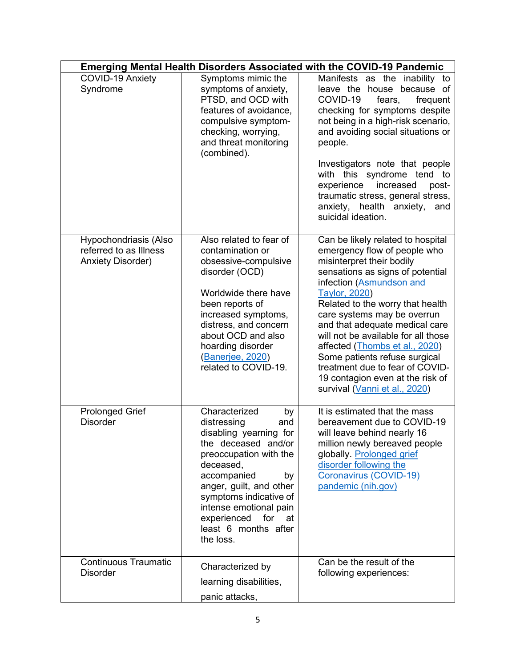| <b>Emerging Mental Health Disorders Associated with the COVID-19 Pandemic</b> |                                                                                                                                                                                                                                                                                                        |                                                                                                                                                                                                                                                                                                                                                                                                                                                                                                               |  |
|-------------------------------------------------------------------------------|--------------------------------------------------------------------------------------------------------------------------------------------------------------------------------------------------------------------------------------------------------------------------------------------------------|---------------------------------------------------------------------------------------------------------------------------------------------------------------------------------------------------------------------------------------------------------------------------------------------------------------------------------------------------------------------------------------------------------------------------------------------------------------------------------------------------------------|--|
| COVID-19 Anxiety<br>Syndrome                                                  | Symptoms mimic the<br>symptoms of anxiety,<br>PTSD, and OCD with<br>features of avoidance,<br>compulsive symptom-<br>checking, worrying,<br>and threat monitoring<br>(combined).                                                                                                                       | Manifests as the inability to<br>house because of<br>leave the<br>COVID-19<br>fears,<br>frequent<br>checking for symptoms despite<br>not being in a high-risk scenario,<br>and avoiding social situations or<br>people.<br>Investigators note that people<br>with this syndrome tend to<br>experience<br>increased<br>post-<br>traumatic stress, general stress,<br>anxiety, health anxiety,<br>and<br>suicidal ideation.                                                                                     |  |
| Hypochondriasis (Also<br>referred to as Illness<br><b>Anxiety Disorder)</b>   | Also related to fear of<br>contamination or<br>obsessive-compulsive<br>disorder (OCD)<br>Worldwide there have<br>been reports of<br>increased symptoms,<br>distress, and concern<br>about OCD and also<br>hoarding disorder<br>(Banerjee, 2020)<br>related to COVID-19.                                | Can be likely related to hospital<br>emergency flow of people who<br>misinterpret their bodily<br>sensations as signs of potential<br>infection (Asmundson and<br><b>Taylor, 2020)</b><br>Related to the worry that health<br>care systems may be overrun<br>and that adequate medical care<br>will not be available for all those<br>affected (Thombs et al., 2020)<br>Some patients refuse surgical<br>treatment due to fear of COVID-<br>19 contagion even at the risk of<br>survival (Vanni et al., 2020) |  |
| <b>Prolonged Grief</b><br><b>Disorder</b>                                     | Characterized<br>by<br>distressing<br>and<br>disabling yearning for<br>the deceased and/or<br>preoccupation with the<br>deceased,<br>accompanied<br>by<br>anger, guilt, and other<br>symptoms indicative of<br>intense emotional pain<br>experienced<br>for<br>at<br>least 6 months after<br>the loss. | It is estimated that the mass<br>bereavement due to COVID-19<br>will leave behind nearly 16<br>million newly bereaved people<br>globally. Prolonged grief<br>disorder following the<br>Coronavirus (COVID-19)<br>pandemic (nih.gov)                                                                                                                                                                                                                                                                           |  |
| <b>Continuous Traumatic</b><br><b>Disorder</b>                                | Characterized by<br>learning disabilities,<br>panic attacks,                                                                                                                                                                                                                                           | Can be the result of the<br>following experiences:                                                                                                                                                                                                                                                                                                                                                                                                                                                            |  |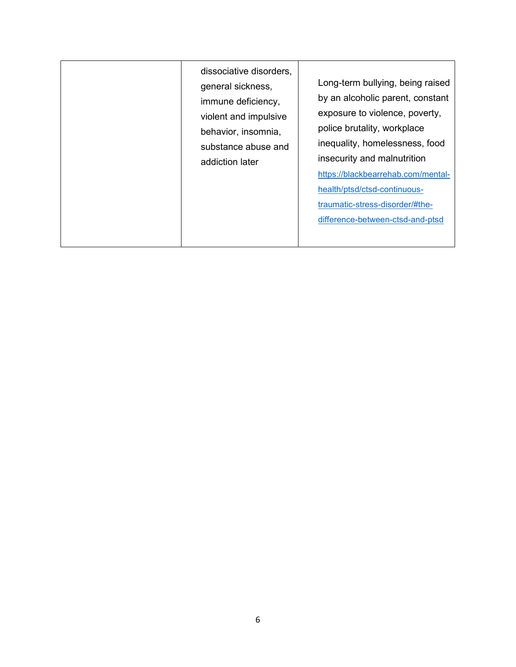| dissociative disorders,<br>general sickness,<br>immune deficiency,<br>violent and impulsive<br>behavior, insomnia,<br>substance abuse and<br>addiction later | Long-term bullying, being raised<br>by an alcoholic parent, constant<br>exposure to violence, poverty,<br>police brutality, workplace<br>inequality, homelessness, food<br>insecurity and malnutrition<br>https://blackbearrehab.com/mental-<br>health/ptsd/ctsd-continuous-<br>traumatic-stress-disorder/#the-<br>difference-between-ctsd-and-ptsd |
|--------------------------------------------------------------------------------------------------------------------------------------------------------------|-----------------------------------------------------------------------------------------------------------------------------------------------------------------------------------------------------------------------------------------------------------------------------------------------------------------------------------------------------|
|--------------------------------------------------------------------------------------------------------------------------------------------------------------|-----------------------------------------------------------------------------------------------------------------------------------------------------------------------------------------------------------------------------------------------------------------------------------------------------------------------------------------------------|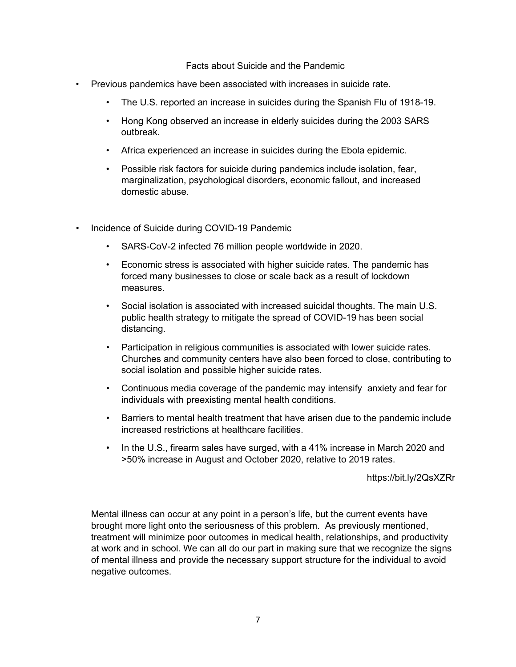#### Facts about Suicide and the Pandemic

- Previous pandemics have been associated with increases in suicide rate.
	- The U.S. reported an increase in suicides during the Spanish Flu of 1918-19.
	- Hong Kong observed an increase in elderly suicides during the 2003 SARS outbreak.
	- Africa experienced an increase in suicides during the Ebola epidemic.
	- Possible risk factors for suicide during pandemics include isolation, fear, marginalization, psychological disorders, economic fallout, and increased domestic abuse.
- Incidence of Suicide during COVID-19 Pandemic
	- SARS-CoV-2 infected 76 million people worldwide in 2020.
	- Economic stress is associated with higher suicide rates. The pandemic has forced many businesses to close or scale back as a result of lockdown measures.
	- Social isolation is associated with increased suicidal thoughts. The main U.S. public health strategy to mitigate the spread of COVID-19 has been social distancing.
	- Participation in religious communities is associated with lower suicide rates. Churches and community centers have also been forced to close, contributing to social isolation and possible higher suicide rates.
	- Continuous media coverage of the pandemic may intensify anxiety and fear for individuals with preexisting mental health conditions.
	- Barriers to mental health treatment that have arisen due to the pandemic include increased restrictions at healthcare facilities.
	- In the U.S., firearm sales have surged, with a 41% increase in March 2020 and >50% increase in August and October 2020, relative to 2019 rates.

https://bit.ly/2QsXZRr

Mental illness can occur at any point in a person's life, but the current events have brought more light onto the seriousness of this problem. As previously mentioned, treatment will minimize poor outcomes in medical health, relationships, and productivity at work and in school. We can all do our part in making sure that we recognize the signs of mental illness and provide the necessary support structure for the individual to avoid negative outcomes.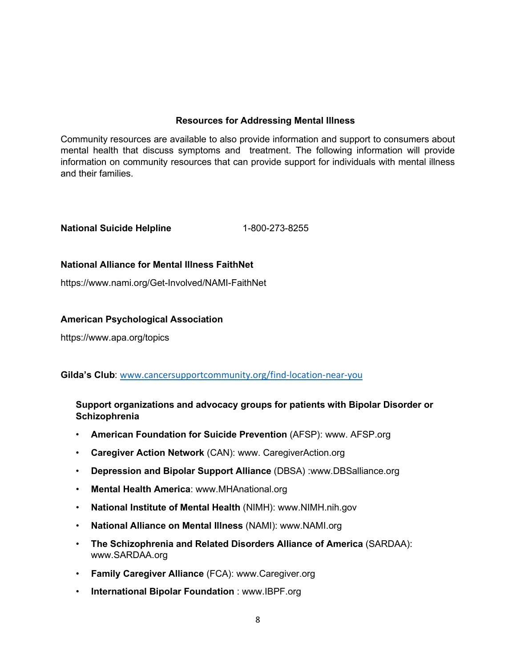## **Resources for Addressing Mental Illness**

Community resources are available to also provide information and support to consumers about mental health that discuss symptoms and treatment. The following information will provide information on community resources that can provide support for individuals with mental illness and their families.

# **National Suicide Helpline** 1-800-273-8255

### **National Alliance for Mental Illness FaithNet**

https://www.nami.org/Get-Involved/NAMI-FaithNet

#### **American Psychological Association**

https://www.apa.org/topics

#### **Gilda's Club**: [www.cancersupportcommunity.org/find-location-near-you](http://www.cancersupportcommunity.org/find-location-near-you)

# **Support organizations and advocacy groups for patients with Bipolar Disorder or Schizophrenia**

- **[American Foundation for Suicide Prevention](http://www.afsp.org/)** (AFSP): www. AFSP.org
- **[Caregiver Action Network](http://www.caregiveraction.org/)** (CAN): www. CaregiverAction.org
- **[Depression and Bipolar Support Alliance](http://www.dbsalliance.org/)** (DBSA) :www.DBSalliance.org
- **[Mental Health America](http://www.mhanational.org/)**: www.MHAnational.org
- **[National Institute of Mental Health](http://www.nimh.nih.gov/)** (NIMH): www.NIMH.nih.gov
- **[National Alliance on Mental Illness](http://www.nami.org/)** (NAMI): www.NAMI.org
- **The Schizophrenia and Related Disorders Alliance of America** (SARDAA): www.SARDAA.org
- **[Family Caregiver Alliance](http://www.caregiver.org/)** (FCA): www.Caregiver.org
- **[International Bipolar Foundation](http://www.ibpf.org/)** : www.IBPF.org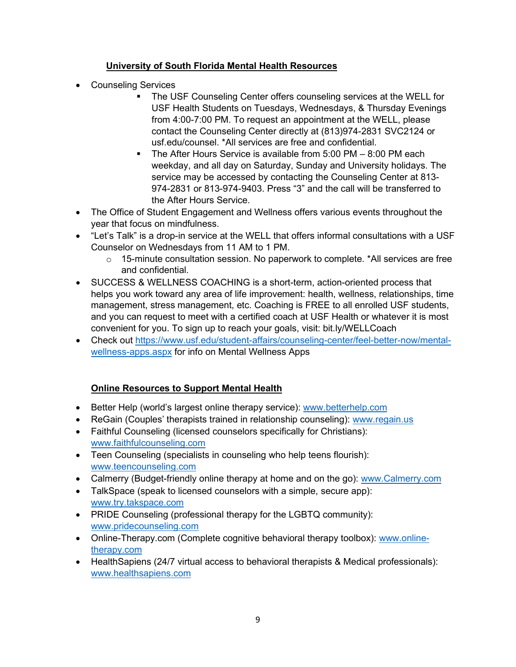# **University of South Florida Mental Health Resources**

- Counseling Services
	- The USF Counseling Center offers counseling services at the WELL for USF Health Students on Tuesdays, Wednesdays, & Thursday Evenings from 4:00-7:00 PM. To request an appointment at the WELL, please contact the Counseling Center directly at (813)974-2831 SVC2124 or usf.edu/counsel. \*All services are free and confidential.
	- The After Hours Service is available from 5:00 PM 8:00 PM each weekday, and all day on Saturday, Sunday and University holidays. The service may be accessed by contacting the Counseling Center at 813- 974-2831 or 813-974-9403. Press "3" and the call will be transferred to the After Hours Service.
- The Office of Student Engagement and Wellness offers various events throughout the year that focus on mindfulness.
- "Let's Talk" is a drop-in service at the WELL that offers informal consultations with a USF Counselor on Wednesdays from 11 AM to 1 PM.
	- $\circ$  15-minute consultation session. No paperwork to complete. \*All services are free and confidential.
- SUCCESS & WELLNESS COACHING is a short-term, action-oriented process that helps you work toward any area of life improvement: health, wellness, relationships, time management, stress management, etc. Coaching is FREE to all enrolled USF students, and you can request to meet with a certified coach at USF Health or whatever it is most convenient for you. To sign up to reach your goals, visit: bit.ly/WELLCoach
- Check out [https://www.usf.edu/student-affairs/counseling-center/feel-better-now/mental](https://www.usf.edu/student-affairs/counseling-center/feel-better-now/mental-wellness-apps.aspx)[wellness-apps.aspx](https://www.usf.edu/student-affairs/counseling-center/feel-better-now/mental-wellness-apps.aspx) for info on Mental Wellness Apps

# **Online Resources to Support Mental Health**

- Better Help (world's largest online therapy service): www.betterhelp.com
- ReGain (Couples' therapists trained in relationship counseling): [www.regain.us](http://www.regain.us/)
- Faithful Counseling (licensed counselors specifically for Christians): [www.faithfulcounseling.com](http://www.faithfulcounseling.com/)
- Teen Counseling (specialists in counseling who help teens flourish): [www.teencounseling.com](http://www.teencounseling.com/)
- Calmerry (Budget-friendly online therapy at home and on the go): [www.Calmerry.com](http://www.calmerry.com/)
- TalkSpace (speak to licensed counselors with a simple, secure app): [www.try.takspace.com](http://www.try.takspace.com/)
- PRIDE Counseling (professional therapy for the LGBTQ community): [www.pridecounseling.com](http://www.pridecounseling.com/)
- Online-Therapy.com (Complete cognitive behavioral therapy toolbox): [www.online](http://www.online-therapy.com/)[therapy.com](http://www.online-therapy.com/)
- HealthSapiens (24/7 virtual access to behavioral therapists & Medical professionals): [www.healthsapiens.com](http://www.healthsapiens.com/)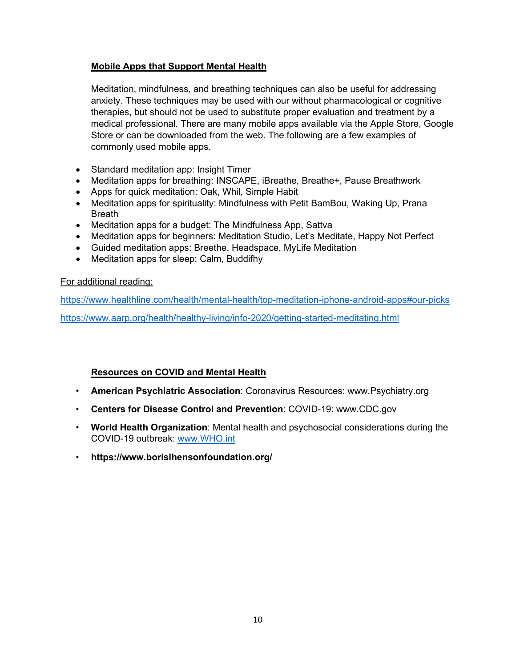## **Mobile Apps that Support Mental Health**

Meditation, mindfulness, and breathing techniques can also be useful for addressing anxiety. These techniques may be used with our without pharmacological or cognitive therapies, but should not be used to substitute proper evaluation and treatment by a medical professional. There are many mobile apps available via the Apple Store, Google Store or can be downloaded from the web. The following are a few examples of commonly used mobile apps.

- Standard meditation app: [Insight Timer](https://www.healthline.com/health/mental-health/top-meditation-iphone-android-apps#insighttimer)
- Meditation apps for breathing: [INSCAPE,](https://www.healthline.com/health/mental-health/top-meditation-iphone-android-apps#inscape) [iBreathe,](https://www.healthline.com/health/mental-health/top-meditation-iphone-android-apps#ibreathe) [Breathe+,](https://www.healthline.com/health/mental-health/top-meditation-iphone-android-apps#breathe) Pause Breathwork
- Apps for quick meditation: [Oak,](https://www.healthline.com/health/mental-health/top-meditation-iphone-android-apps#oak) [Whil,](https://www.healthline.com/health/mental-health/top-meditation-iphone-android-apps#whil) [Simple Habit](https://www.healthline.com/health/mental-health/top-meditation-iphone-android-apps#simple)
- Meditation apps for spirituality: [Mindfulness with Petit BamBou,](https://www.healthline.com/health/mental-health/top-meditation-iphone-android-apps#mindfulness) [Waking Up,](https://www.healthline.com/health/mental-health/top-meditation-iphone-android-apps#waking) [Prana](https://www.healthline.com/health/mental-health/top-meditation-iphone-android-apps#prana)  [Breath](https://www.healthline.com/health/mental-health/top-meditation-iphone-android-apps#prana)
- Meditation apps for a budget: [The Mindfulness App,](https://www.healthline.com/health/mental-health/top-meditation-iphone-android-apps#themindfulness) [Sattva](https://www.healthline.com/health/mental-health/top-meditation-iphone-android-apps#sattva)
- Meditation apps for beginners: [Meditation Studio,](https://www.healthline.com/health/mental-health/top-meditation-iphone-android-apps#meditation) [Let's Meditate,](https://www.healthline.com/health/mental-health/top-meditation-iphone-android-apps#lets) [Happy Not Perfect](https://www.healthline.com/health/mental-health/top-meditation-iphone-android-apps#happy)
- Guided meditation apps: [Breethe,](https://www.healthline.com/health/mental-health/top-meditation-iphone-android-apps#breethe) [Headspace,](https://www.healthline.com/health/mental-health/top-meditation-iphone-android-apps#headspace) [MyLife Meditation](https://www.healthline.com/health/mental-health/top-meditation-iphone-android-apps#mylife)
- Meditation apps for sleep: [Calm,](https://www.healthline.com/health/mental-health/top-meditation-iphone-android-apps#calm) [Buddifhy](https://www.healthline.com/health/mental-health/top-meditation-iphone-android-apps#buddhify)

#### For additional reading:

<https://www.healthline.com/health/mental-health/top-meditation-iphone-android-apps#our-picks> <https://www.aarp.org/health/healthy-living/info-2020/getting-started-meditating.html>

# **Resources on COVID and Mental Health**

- **[American Psychiatric Association](https://www.psychiatry.org/psychiatrists/covid-19-coronavirus)**: Coronavirus Resources: www.Psychiatry.org
- **[Centers for Disease Control and Prevention](https://www.cdc.gov/coronavirus/2019-nCoV/hcp/index.html)**: COVID-19: www.CDC.gov
- **World Health Organization**[: Mental health and psychosocial considerations during the](https://www.who.int/docs/default-source/coronaviruse/mental-health-considerations)  [COVID-19 outbreak:](https://www.who.int/docs/default-source/coronaviruse/mental-health-considerations) [www.WHO.int](http://www.who.int/)
- **https://www.borislhensonfoundation.org/**